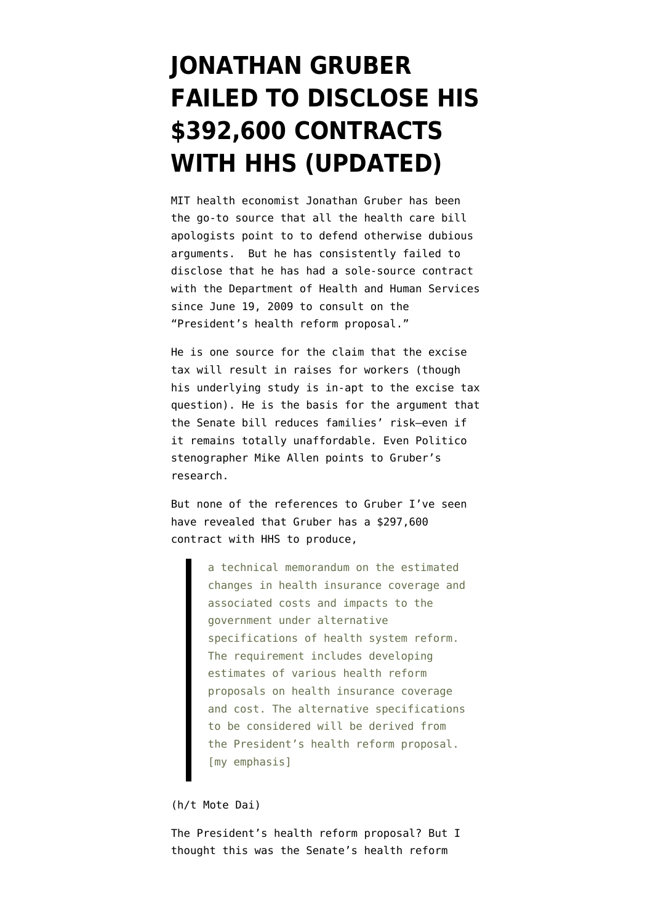## **[JONATHAN GRUBER](https://www.emptywheel.net/2010/01/07/jonathan-grubers-rent-a-scholarship/) [FAILED TO DISCLOSE HIS](https://www.emptywheel.net/2010/01/07/jonathan-grubers-rent-a-scholarship/) [\\$392,600 CONTRACTS](https://www.emptywheel.net/2010/01/07/jonathan-grubers-rent-a-scholarship/) [WITH HHS \(UPDATED\)](https://www.emptywheel.net/2010/01/07/jonathan-grubers-rent-a-scholarship/)**

MIT health economist Jonathan Gruber has been the go-to source that all the health care bill apologists point to to defend otherwise dubious arguments. But he has consistently failed to disclose that he has had a sole-source contract with the Department of Health and Human Services since June 19, 2009 to consult on the "President's health reform proposal."

He is [one source](http://www.washingtonpost.com/wp-dyn/content/article/2009/12/27/AR2009122701714.html) for the [claim](http://ideas.repec.org/a/aea/aecrev/v84y1994i3p622-41.html) that the excise tax will result in raises for workers (though his underlying study is in-apt to the excise tax question). He is the [basis](http://www.kaiserhealthnews.org/Columns/2009/December/122109Cohn.aspx) for the argument that the Senate bill reduces families' risk–even if it remains totally unaffordable. Even Politico stenographer Mike Allen [points to](http://www.politico.com/news/stories/1109/29959.html) Gruber's research.

But none of the references to Gruber I've seen have revealed that Gruber has a [\\$297,600](https://www.fbo.gov/index?s=opportunity&mode=form&tab=core&id=3032e84fe13f650770acee31c1372a1b&_cview=0) [contract](https://www.fbo.gov/index?s=opportunity&mode=form&tab=core&id=3032e84fe13f650770acee31c1372a1b&_cview=0) with HHS to [produce](https://www.fbo.gov/index?s=opportunity&mode=form&id=3032e84fe13f650770acee31c1372a1b&tab=core&_cview=1),

> a technical memorandum on the estimated changes in health insurance coverage and associated costs and impacts to the government under alternative specifications of health system reform. The requirement includes developing estimates of various health reform proposals on health insurance coverage and cost. The alternative specifications to be considered will be derived from the President's health reform proposal. [my emphasis]

## (h/t [Mote Dai](http://www.dailykos.com/comments/2010/1/7/131856/1847/73#c73))

The President's health reform proposal? But I thought this was the Senate's health reform